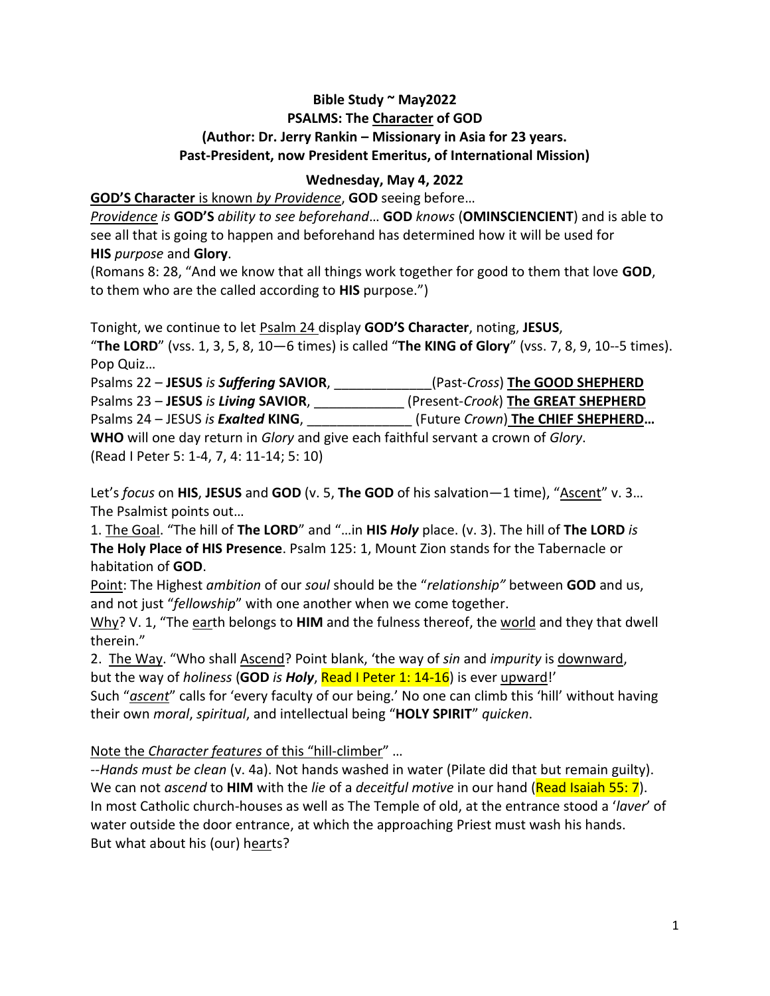## **Bible Study ~ May2022 PSALMS: The Character of GOD (Author: Dr. Jerry Rankin – Missionary in Asia for 23 years. Past-President, now President Emeritus, of International Mission)**

## **Wednesday, May 4, 2022**

**GOD'S Character** is known *by Providence*, **GOD** seeing before…

*Providence is* **GOD'S** *ability to see beforehand*… **GOD** *knows* (**OMINSCIENCIENT**) and is able to see all that is going to happen and beforehand has determined how it will be used for **HIS** *purpose* and **Glory**.

(Romans 8: 28, "And we know that all things work together for good to them that love **GOD**, to them who are the called according to **HIS** purpose.")

Tonight, we continue to let Psalm 24 display **GOD'S Character**, noting, **JESUS**, "**The LORD**" (vss. 1, 3, 5, 8, 10—6 times) is called "**The KING of Glory**" (vss. 7, 8, 9, 10--5 times). Pop Quiz…

| Psalms 22 - JESUS is Suffering SAVIOR,                                            | (Past-Cross) The GOOD SHEPHERD     |
|-----------------------------------------------------------------------------------|------------------------------------|
| Psalms 23 - JESUS is Living SAVIOR,                                               | (Present-Crook) The GREAT SHEPHERD |
| Psalms 24 – JESUS is <b>Exalted KING</b> ,                                        | (Future Crown) The CHIEF SHEPHERD  |
| WHO will one day return in Glory and give each faithful servant a crown of Glory. |                                    |
| (Read I Peter 5: 1-4, 7, 4: 11-14; 5: 10)                                         |                                    |

Let's *focus* on **HIS**, **JESUS** and **GOD** (v. 5, **The GOD** of his salvation—1 time), "Ascent" v. 3… The Psalmist points out…

1. The Goal. "The hill of **The LORD**" and "…in **HIS** *Holy* place. (v. 3). The hill of **The LORD** *is* **The Holy Place of HIS Presence**. Psalm 125: 1, Mount Zion stands for the Tabernacle or habitation of **GOD**.

Point: The Highest *ambition* of our *soul* should be the "*relationship"* between **GOD** and us, and not just "*fellowship*" with one another when we come together.

Why? V. 1, "The earth belongs to HIM and the fulness thereof, the world and they that dwell therein."

2. The Way. "Who shall Ascend? Point blank, 'the way of *sin* and *impurity* is downward, but the way of *holiness* (**GOD** *is Holy*, Read I Peter 1: 14-16) is ever upward!'

Such "*ascent*" calls for 'every faculty of our being.' No one can climb this 'hill' without having their own *moral*, *spiritual*, and intellectual being "**HOLY SPIRIT**" *quicken*.

Note the *Character features* of this "hill-climber" …

--*Hands must be clean* (v. 4a). Not hands washed in water (Pilate did that but remain guilty). We can not *ascend* to **HIM** with the *lie* of a *deceitful motive* in our hand (Read Isaiah 55: 7). In most Catholic church-houses as well as The Temple of old, at the entrance stood a '*laver*' of water outside the door entrance, at which the approaching Priest must wash his hands. But what about his (our) hearts?